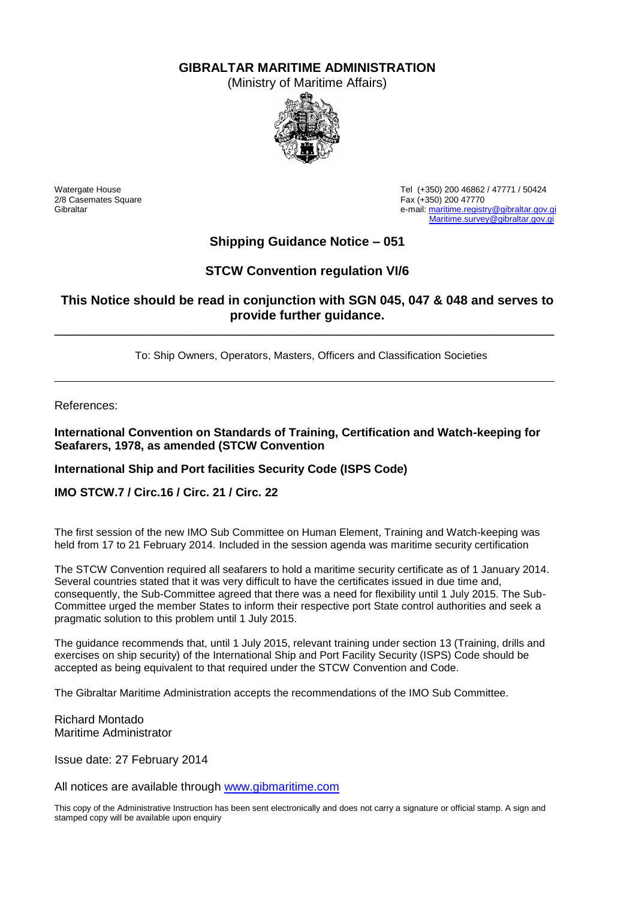**GIBRALTAR MARITIME ADMINISTRATION**

(Ministry of Maritime Affairs)



2/8 Casemates Square Fax (+350) 200 47770<br>Gibraltar Fax (+350) 200 47770

Watergate House Tel (+350) 200 46862 / 47771 / 50424 e-mail[: maritime.registry@gibraltar.gov.gi](mailto:maritime.registry@gibraltar.gov.gi) [Maritime.survey@gibraltar.gov.gi](mailto:Maritime.survey@gibraltar.gov.gi)

# **Shipping Guidance Notice – 051**

## **STCW Convention regulation VI/6**

## **This Notice should be read in conjunction with SGN 045, 047 & 048 and serves to provide further guidance.**

**\_\_\_\_\_\_\_\_\_\_\_\_\_\_\_\_\_\_\_\_\_\_\_\_\_\_\_\_\_\_\_\_\_\_\_\_\_\_\_\_\_\_\_\_\_\_\_\_\_\_\_\_\_\_\_\_\_\_\_\_\_\_\_\_\_\_\_\_\_\_\_\_\_\_\_\_\_\_**

To: Ship Owners, Operators, Masters, Officers and Classification Societies

References:

**International Convention on Standards of Training, Certification and Watch-keeping for Seafarers, 1978, as amended (STCW Convention**

#### **International Ship and Port facilities Security Code (ISPS Code)**

#### **IMO STCW.7 / Circ.16 / Circ. 21 / Circ. 22**

The first session of the new IMO Sub Committee on Human Element, Training and Watch-keeping was held from 17 to 21 February 2014. Included in the session agenda was maritime security certification

The STCW Convention required all seafarers to hold a maritime security certificate as of 1 January 2014. Several countries stated that it was very difficult to have the certificates issued in due time and, consequently, the Sub-Committee agreed that there was a need for flexibility until 1 July 2015. The Sub-Committee urged the member States to inform their respective port State control authorities and seek a pragmatic solution to this problem until 1 July 2015.

The guidance recommends that, until 1 July 2015, relevant training under section 13 (Training, drills and exercises on ship security) of the International Ship and Port Facility Security (ISPS) Code should be accepted as being equivalent to that required under the STCW Convention and Code.

The Gibraltar Maritime Administration accepts the recommendations of the IMO Sub Committee.

Richard Montado Maritime Administrator

Issue date: 27 February 2014

All notices are available through [www.gibmaritime.com](http://www.gibmaritime.com/) 

This copy of the Administrative Instruction has been sent electronically and does not carry a signature or official stamp. A sign and stamped copy will be available upon enquiry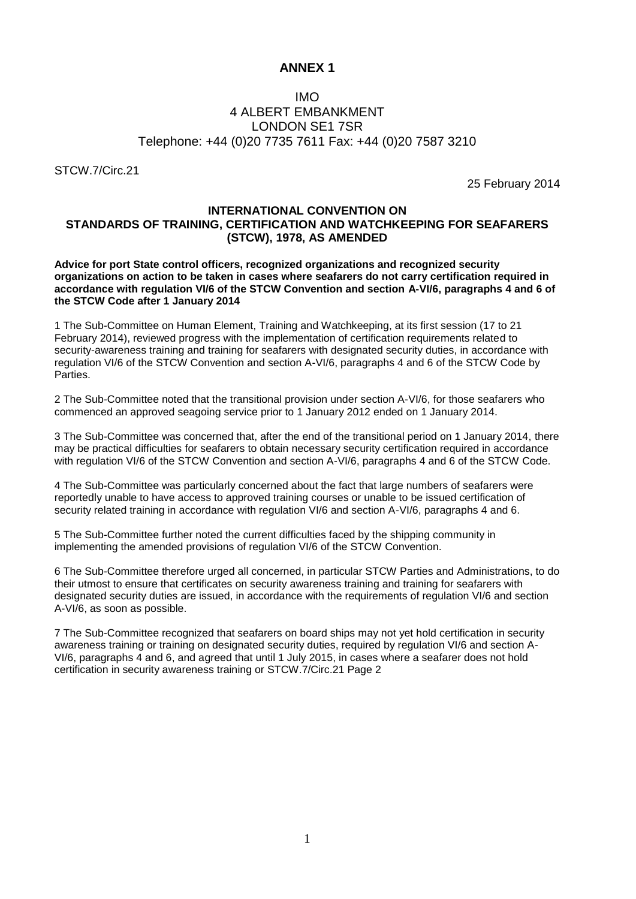### **ANNEX 1**

### IMO 4 ALBERT EMBANKMENT LONDON SE1 7SR Telephone: +44 (0)20 7735 7611 Fax: +44 (0)20 7587 3210

STCW.7/Circ.21

25 February 2014

#### **INTERNATIONAL CONVENTION ON STANDARDS OF TRAINING, CERTIFICATION AND WATCHKEEPING FOR SEAFARERS (STCW), 1978, AS AMENDED**

**Advice for port State control officers, recognized organizations and recognized security organizations on action to be taken in cases where seafarers do not carry certification required in accordance with regulation VI/6 of the STCW Convention and section A-VI/6, paragraphs 4 and 6 of the STCW Code after 1 January 2014** 

1 The Sub-Committee on Human Element, Training and Watchkeeping, at its first session (17 to 21 February 2014), reviewed progress with the implementation of certification requirements related to security-awareness training and training for seafarers with designated security duties, in accordance with regulation VI/6 of the STCW Convention and section A-VI/6, paragraphs 4 and 6 of the STCW Code by Parties.

2 The Sub-Committee noted that the transitional provision under section A-VI/6, for those seafarers who commenced an approved seagoing service prior to 1 January 2012 ended on 1 January 2014.

3 The Sub-Committee was concerned that, after the end of the transitional period on 1 January 2014, there may be practical difficulties for seafarers to obtain necessary security certification required in accordance with regulation VI/6 of the STCW Convention and section A-VI/6, paragraphs 4 and 6 of the STCW Code.

4 The Sub-Committee was particularly concerned about the fact that large numbers of seafarers were reportedly unable to have access to approved training courses or unable to be issued certification of security related training in accordance with regulation VI/6 and section A-VI/6, paragraphs 4 and 6.

5 The Sub-Committee further noted the current difficulties faced by the shipping community in implementing the amended provisions of regulation VI/6 of the STCW Convention.

6 The Sub-Committee therefore urged all concerned, in particular STCW Parties and Administrations, to do their utmost to ensure that certificates on security awareness training and training for seafarers with designated security duties are issued, in accordance with the requirements of regulation VI/6 and section A-VI/6, as soon as possible.

7 The Sub-Committee recognized that seafarers on board ships may not yet hold certification in security awareness training or training on designated security duties, required by regulation VI/6 and section A-VI/6, paragraphs 4 and 6, and agreed that until 1 July 2015, in cases where a seafarer does not hold certification in security awareness training or STCW.7/Circ.21 Page 2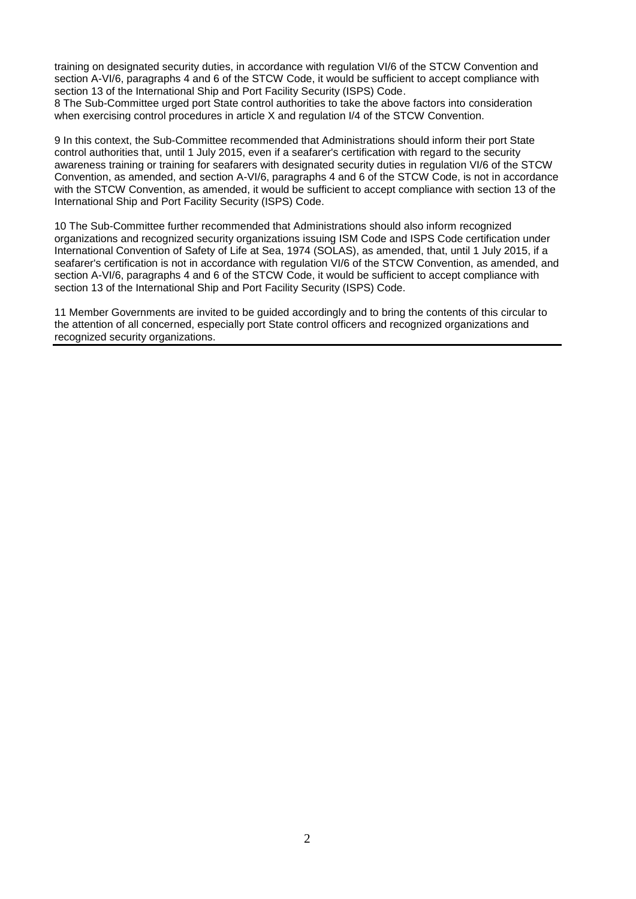training on designated security duties, in accordance with regulation VI/6 of the STCW Convention and section A-VI/6, paragraphs 4 and 6 of the STCW Code, it would be sufficient to accept compliance with section 13 of the International Ship and Port Facility Security (ISPS) Code.

8 The Sub-Committee urged port State control authorities to take the above factors into consideration when exercising control procedures in article X and regulation  $1/4$  of the STCW Convention.

9 In this context, the Sub-Committee recommended that Administrations should inform their port State control authorities that, until 1 July 2015, even if a seafarer's certification with regard to the security awareness training or training for seafarers with designated security duties in regulation VI/6 of the STCW Convention, as amended, and section A-VI/6, paragraphs 4 and 6 of the STCW Code, is not in accordance with the STCW Convention, as amended, it would be sufficient to accept compliance with section 13 of the International Ship and Port Facility Security (ISPS) Code.

10 The Sub-Committee further recommended that Administrations should also inform recognized organizations and recognized security organizations issuing ISM Code and ISPS Code certification under International Convention of Safety of Life at Sea, 1974 (SOLAS), as amended, that, until 1 July 2015, if a seafarer's certification is not in accordance with regulation VI/6 of the STCW Convention, as amended, and section A-VI/6, paragraphs 4 and 6 of the STCW Code, it would be sufficient to accept compliance with section 13 of the International Ship and Port Facility Security (ISPS) Code.

11 Member Governments are invited to be guided accordingly and to bring the contents of this circular to the attention of all concerned, especially port State control officers and recognized organizations and recognized security organizations.